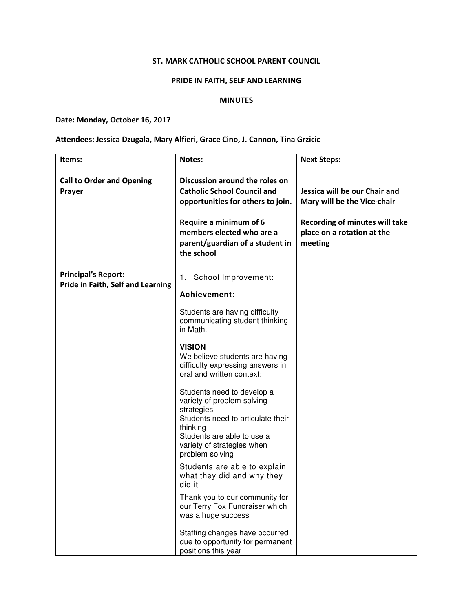## ST. MARK CATHOLIC SCHOOL PARENT COUNCIL

### PRIDE IN FAITH, SELF AND LEARNING

#### MINUTES

# Date: Monday, October 16, 2017

## Attendees: Jessica Dzugala, Mary Alfieri, Grace Cino, J. Cannon, Tina Grzicic

| Items:                                                          | <b>Notes:</b>                                                                                                                                                                                                     | <b>Next Steps:</b>                                                                                                                      |
|-----------------------------------------------------------------|-------------------------------------------------------------------------------------------------------------------------------------------------------------------------------------------------------------------|-----------------------------------------------------------------------------------------------------------------------------------------|
| <b>Call to Order and Opening</b><br>Prayer                      | Discussion around the roles on<br><b>Catholic School Council and</b><br>opportunities for others to join.<br>Require a minimum of 6<br>members elected who are a<br>parent/guardian of a student in<br>the school | Jessica will be our Chair and<br>Mary will be the Vice-chair<br>Recording of minutes will take<br>place on a rotation at the<br>meeting |
| <b>Principal's Report:</b><br>Pride in Faith, Self and Learning | 1. School Improvement:<br>Achievement:                                                                                                                                                                            |                                                                                                                                         |
|                                                                 | Students are having difficulty<br>communicating student thinking<br>in Math.                                                                                                                                      |                                                                                                                                         |
|                                                                 | <b>VISION</b><br>We believe students are having<br>difficulty expressing answers in<br>oral and written context:                                                                                                  |                                                                                                                                         |
|                                                                 | Students need to develop a<br>variety of problem solving<br>strategies<br>Students need to articulate their<br>thinking<br>Students are able to use a<br>variety of strategies when<br>problem solving            |                                                                                                                                         |
|                                                                 | Students are able to explain<br>what they did and why they<br>did it                                                                                                                                              |                                                                                                                                         |
|                                                                 | Thank you to our community for<br>our Terry Fox Fundraiser which<br>was a huge success                                                                                                                            |                                                                                                                                         |
|                                                                 | Staffing changes have occurred<br>due to opportunity for permanent<br>positions this year                                                                                                                         |                                                                                                                                         |